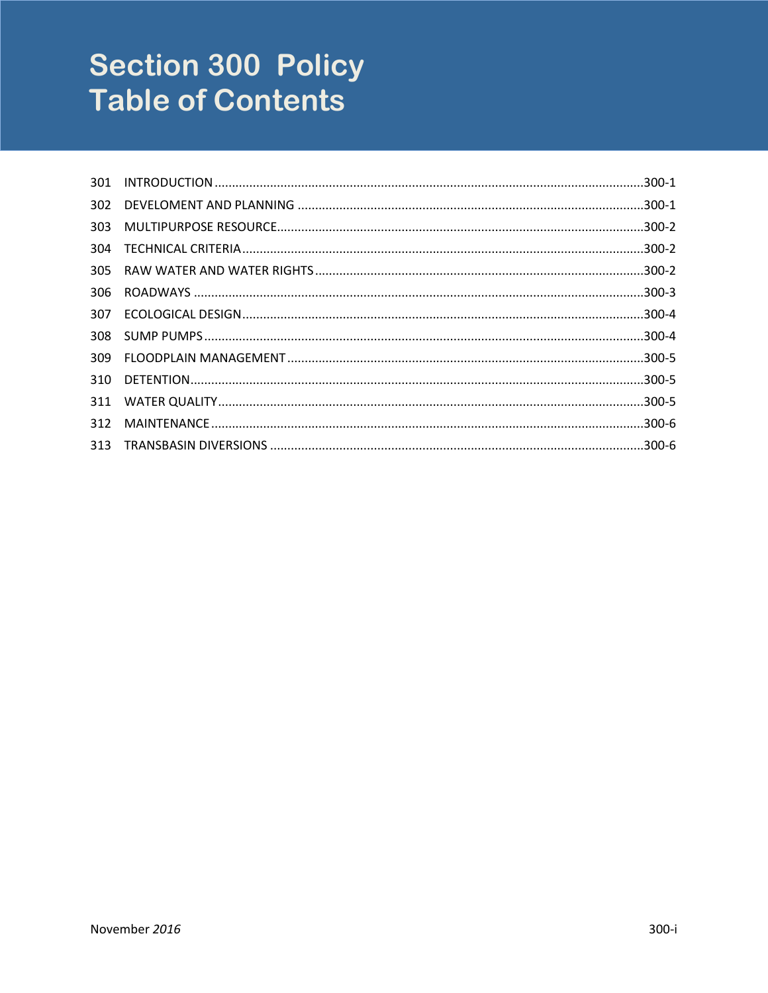# **Section 300 Policy Table of Contents**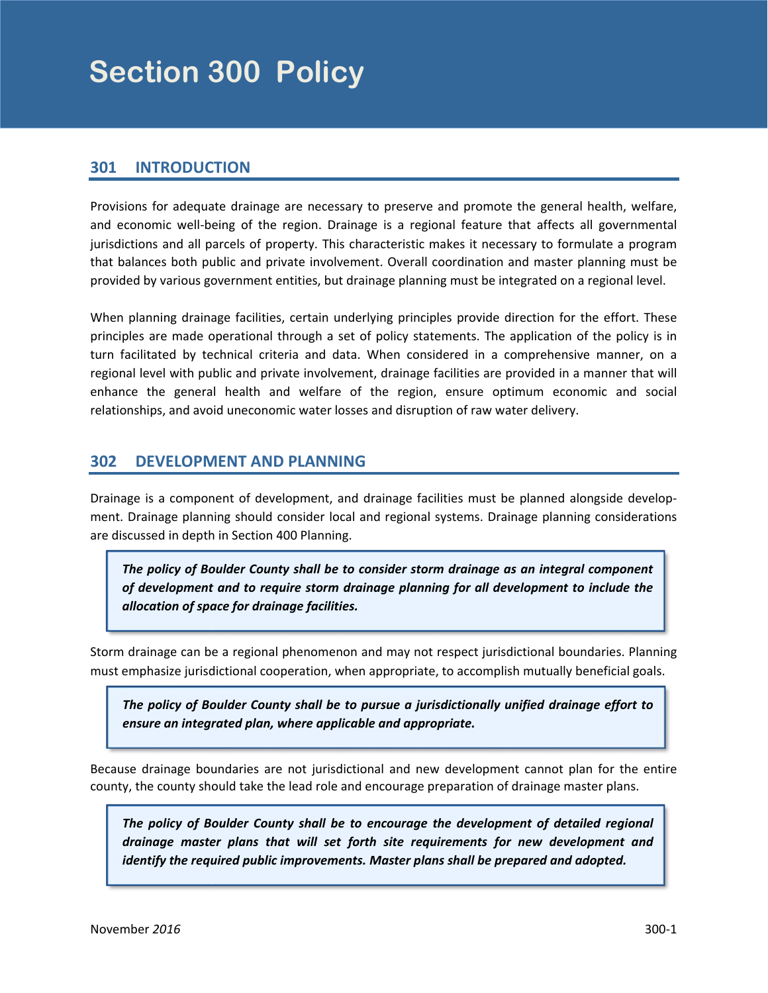## <span id="page-2-0"></span>**301 INTRODUCTION**

Provisions for adequate drainage are necessary to preserve and promote the general health, welfare, and economic well‐being of the region. Drainage is a regional feature that affects all governmental jurisdictions and all parcels of property. This characteristic makes it necessary to formulate a program that balances both public and private involvement. Overall coordination and master planning must be provided by various government entities, but drainage planning must be integrated on a regional level.

When planning drainage facilities, certain underlying principles provide direction for the effort. These principles are made operational through a set of policy statements. The application of the policy is in turn facilitated by technical criteria and data. When considered in a comprehensive manner, on a regional level with public and private involvement, drainage facilities are provided in a manner that will enhance the general health and welfare of the region, ensure optimum economic and social relationships, and avoid uneconomic water losses and disruption of raw water delivery.

# **302 DEVELOPMENT AND PLANNING**

Drainage is a component of development, and drainage facilities must be planned alongside develop‐ ment. Drainage planning should consider local and regional systems. Drainage planning considerations are discussed in depth in Section 400 Planning.

the control of the control of the control of the control of the control of *The policy of Boulder County shall be to consider storm drainage as an integral component of development and to require storm drainage planning for all development to include the allocation of space for drainage facilities.* 

Storm drainage can be a regional phenomenon and may not respect jurisdictional boundaries. Planning must emphasize jurisdictional cooperation, when appropriate, to accomplish mutually beneficial goals.

*The policy of Boulder County shall be to pursue a jurisdictionally unified drainage effort to ensure an integrated plan, where applicable and appropriate.*

Because drainage boundaries are not jurisdictional and new development cannot plan for the entire county, the county should take the lead role and encourage preparation of drainage master plans.

*The policy of Boulder County shall be to encourage the development of detailed regional drainage master plans that will set forth site requirements for new development and identify the required public improvements. Master plans shall be prepared and adopted.*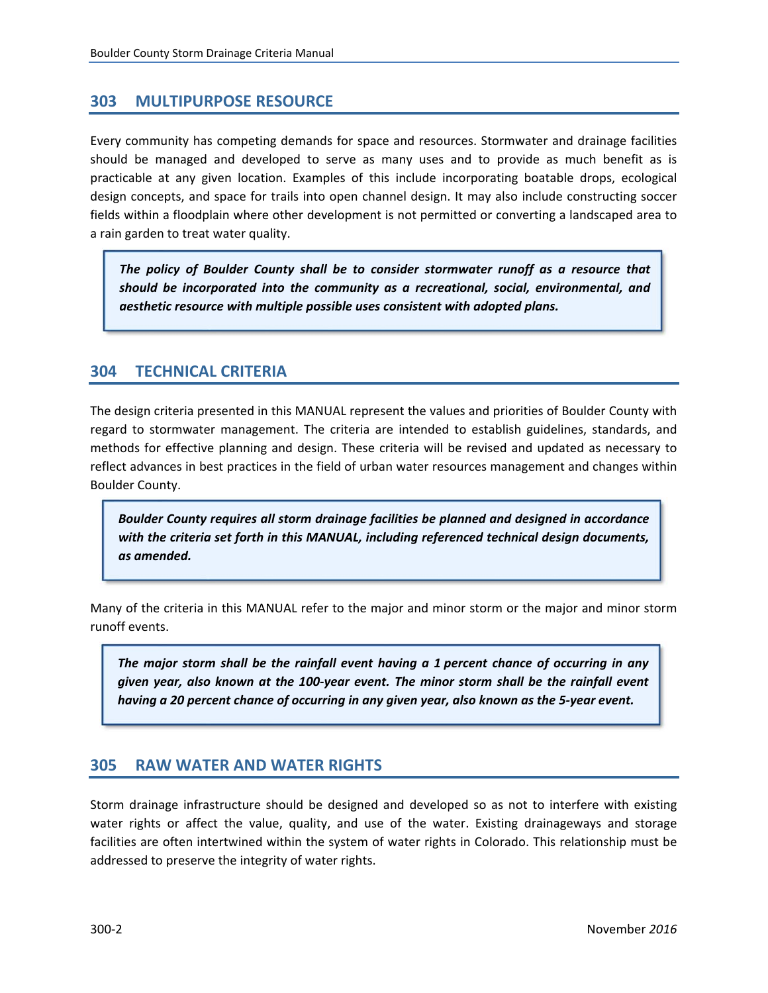## <span id="page-3-0"></span>**303 MULTIPURPOSE RESOURCE**

Every community has competing demands for space and resources. Stormwater and drainage facilities should be managed and developed to serve as many uses and to provide as much benefit as is practicable at any given location. Examples of this include incorporating boatable drops, ecological design concepts, and space for trails into open channel design. It may also include constructing soccer fields within a floodplain where other development is not permitted or converting a landscaped area to a rain garden to treat water quality.

*The policy of Boulder County shall be to consider stormwater runoff as a resource that should be incorporated into the community as a recreational, social, environmental, and aesthetic resource with multiple possible uses consistent with adopted plans.*

# **304 TECHNICAL CRITERIA**

The design criteria presented in this MANUAL represent the values and priorities of Boulder County with regard to stormwater management. The criteria are intended to establish guidelines, standards, and methods for effective planning and design. These criteria will be revised and updated as necessary to reflect advances in best practices in the field of urban water resources management and changes within Boulder County.

*Boulder County requires all storm drainage facilities be planned and designed in accordance with the criteria set forth in this MANUAL, including referenced technical design documents, as amended.*

Many of the criteria in this MANUAL refer to the major and minor storm or the major and minor storm runoff events.

*The major storm shall be the rainfall event having a 1 percent chance of occurring in any given year, also known at the 100‐year event. The minor storm shall be the rainfall event having a 20 percent chance of occurring in any given year, also known as the 5‐year event.*

### **305 RAW WATER AND WATER RIGHTS**

Storm drainage infrastructure should be designed and developed so as not to interfere with existing water rights or affect the value, quality, and use of the water. Existing drainageways and storage facilities are often intertwined within the system of water rights in Colorado. This relationship must be addressed to preserve the integrity of water rights.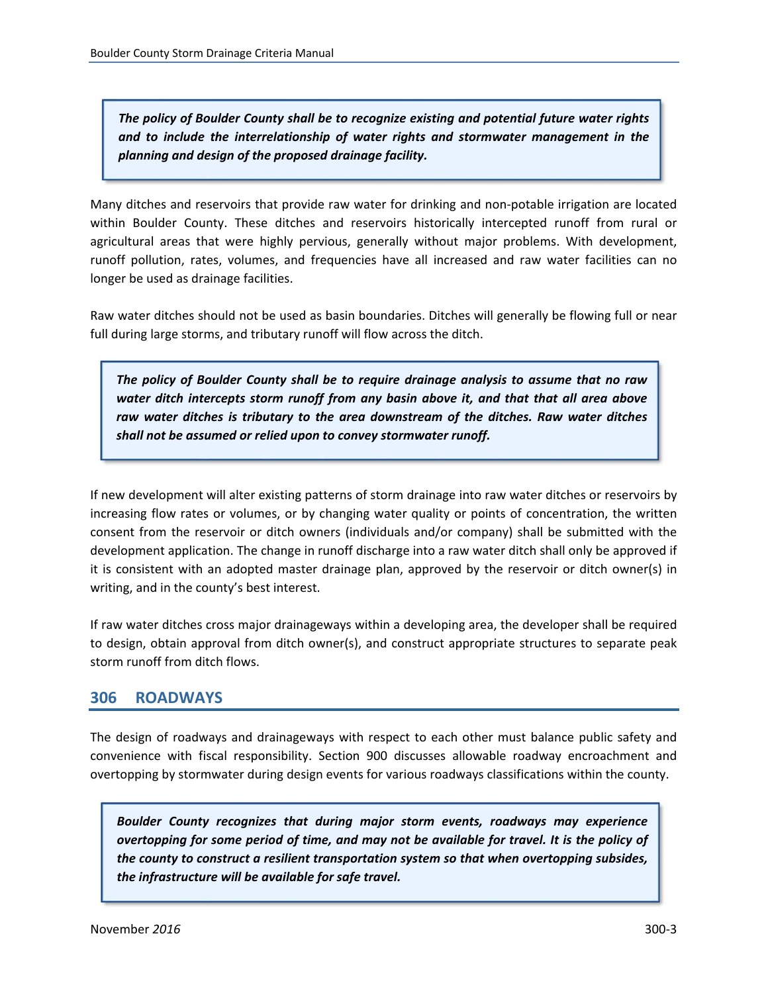<span id="page-4-0"></span>*The policy of Boulder County shall be to recognize existing and potential future water rights and to include the interrelationship of water rights and stormwater management in the planning and design of the proposed drainage facility.*

Many ditches and reservoirs that provide raw water for drinking and non‐potable irrigation are located within Boulder County. These ditches and reservoirs historically intercepted runoff from rural or agricultural areas that were highly pervious, generally without major problems. With development, runoff pollution, rates, volumes, and frequencies have all increased and raw water facilities can no longer be used as drainage facilities.

Raw water ditches should not be used as basin boundaries. Ditches will generally be flowing full or near full during large storms, and tributary runoff will flow across the ditch.

*The policy of Boulder County shall be to require drainage analysis to assume that no raw water ditch intercepts storm runoff from any basin above it, and that that all area above raw water ditches is tributary to the area downstream of the ditches. Raw water ditches shall not be assumed or relied upon to convey stormwater runoff.*

If new development will alter existing patterns of storm drainage into raw water ditches or reservoirs by increasing flow rates or volumes, or by changing water quality or points of concentration, the written consent from the reservoir or ditch owners (individuals and/or company) shall be submitted with the development application. The change in runoff discharge into a raw water ditch shall only be approved if it is consistent with an adopted master drainage plan, approved by the reservoir or ditch owner(s) in writing, and in the county's best interest.

If raw water ditches cross major drainageways within a developing area, the developer shall be required to design, obtain approval from ditch owner(s), and construct appropriate structures to separate peak storm runoff from ditch flows.

# **306 ROADWAYS**

The design of roadways and drainageways with respect to each other must balance public safety and convenience with fiscal responsibility. Section 900 discusses allowable roadway encroachment and overtopping by stormwater during design events for various roadways classifications within the county.

*Boulder County recognizes that during major storm events, roadways may experience overtopping for some period of time, and may not be available for travel. It is the policy of the county to construct a resilient transportation system so that when overtopping subsides, the infrastructure will be available for safe travel.*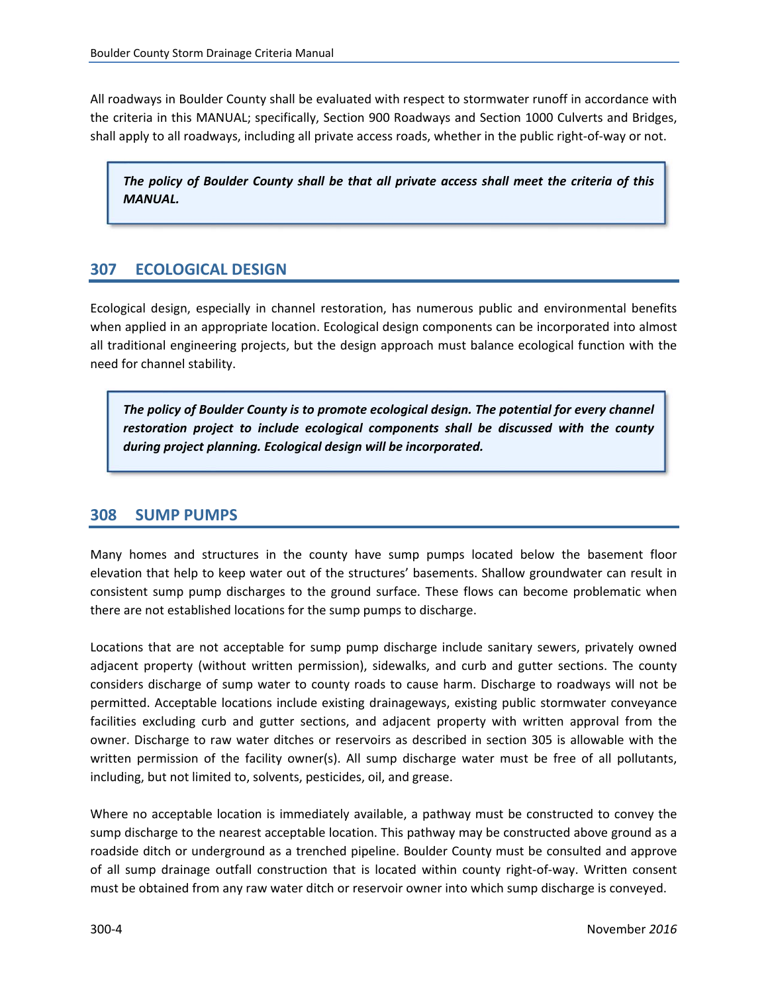<span id="page-5-0"></span>All roadways in Boulder County shall be evaluated with respect to stormwater runoff in accordance with the criteria in this MANUAL; specifically, Section 900 Roadways and Section 1000 Culverts and Bridges, shall apply to all roadways, including all private access roads, whether in the public right‐of‐way or not.

*The policy of Boulder County shall be that all private access shall meet the criteria of this MANUAL.*

# **307 ECOLOGICAL DESIGN**

Ecological design, especially in channel restoration, has numerous public and environmental benefits when applied in an appropriate location. Ecological design components can be incorporated into almost all traditional engineering projects, but the design approach must balance ecological function with the need for channel stability.

*The policy of Boulder County is to promote ecological design. The potential for every channel restoration project to include ecological components shall be discussed with the county during project planning. Ecological design will be incorporated.*

### **308 SUMP PUMPS**

Many homes and structures in the county have sump pumps located below the basement floor elevation that help to keep water out of the structures' basements. Shallow groundwater can result in consistent sump pump discharges to the ground surface. These flows can become problematic when there are not established locations for the sump pumps to discharge.

Locations that are not acceptable for sump pump discharge include sanitary sewers, privately owned adjacent property (without written permission), sidewalks, and curb and gutter sections. The county considers discharge of sump water to county roads to cause harm. Discharge to roadways will not be permitted. Acceptable locations include existing drainageways, existing public stormwater conveyance facilities excluding curb and gutter sections, and adjacent property with written approval from the owner. Discharge to raw water ditches or reservoirs as described in section 305 is allowable with the written permission of the facility owner(s). All sump discharge water must be free of all pollutants, including, but not limited to, solvents, pesticides, oil, and grease.

Where no acceptable location is immediately available, a pathway must be constructed to convey the sump discharge to the nearest acceptable location. This pathway may be constructed above ground as a roadside ditch or underground as a trenched pipeline. Boulder County must be consulted and approve of all sump drainage outfall construction that is located within county right‐of‐way. Written consent must be obtained from any raw water ditch or reservoir owner into which sump discharge is conveyed.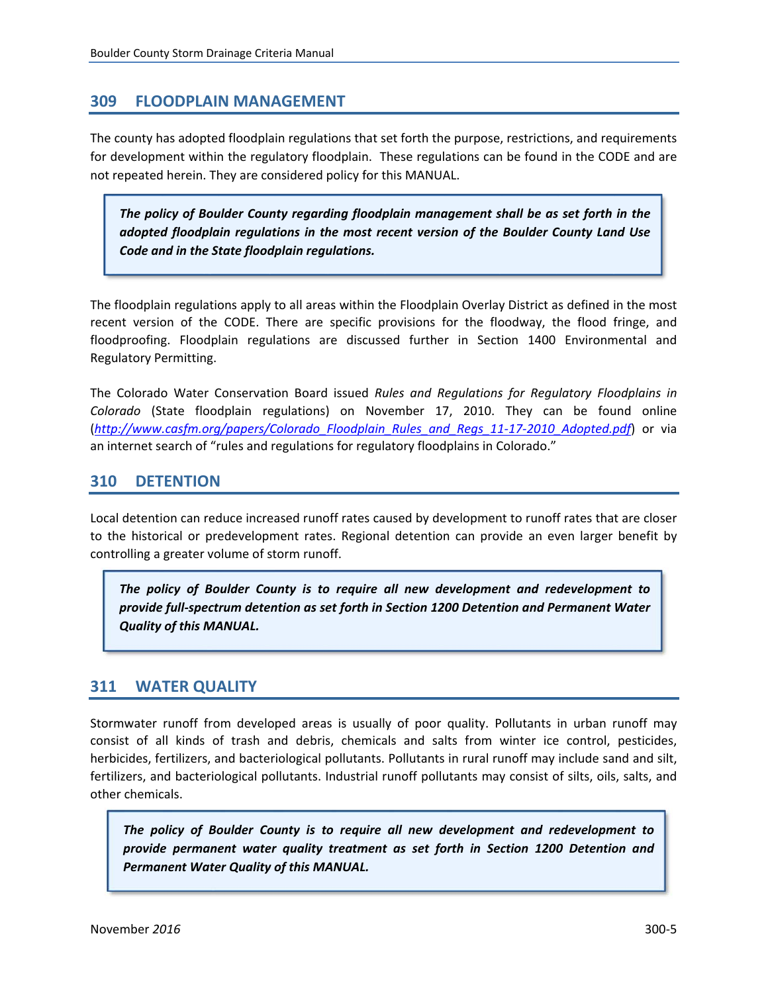# <span id="page-6-0"></span>**309 FLOODPLAIN MANAGEMENT**

The county has adopted floodplain regulations that set forth the purpose, restrictions, and requirements for development within the regulatory floodplain. These regulations can be found in the CODE and are not repeated herein. They are considered policy for this MANUAL.

*The policy of Boulder County regarding floodplain management shall be as set forth in the adopted floodplain regulations in the most recent version of the Boulder County Land Use Code and in the State floodplain regulations.*

The floodplain regulations apply to all areas within the Floodplain Overlay District as defined in the most recent version of the CODE. There are specific provisions for the floodway, the flood fringe, and floodproofing. Floodplain regulations are discussed further in Section 1400 Environmental and Regulatory Permitting.

The Colorado Water Conservation Board issued *Rules and Regulations for Regulatory Floodplains in Colorado* (State floodplain regulations) on November 17, 2010. They can be found online (*http://www.casfm.org/papers/Colorado\_Floodplain\_Rules\_and\_Regs\_11‐17‐2010\_Adopted.pdf*) or via an internet search of "rules and regulations for regulatory floodplains in Colorado."

# **310 DETENTION**

Local detention can reduce increased runoff rates caused by development to runoff rates that are closer to the historical or predevelopment rates. Regional detention can provide an even larger benefit by controlling a greater volume of storm runoff.

*The policy of Boulder County is to require all new development and redevelopment to provide full‐spectrum detention as set forth in Section 1200 Detention and Permanent Water Quality of this MANUAL.*

# **311 WATER QUALITY**

Stormwater runoff from developed areas is usually of poor quality. Pollutants in urban runoff may consist of all kinds of trash and debris, chemicals and salts from winter ice control, pesticides, herbicides, fertilizers, and bacteriological pollutants. Pollutants in rural runoff may include sand and silt, fertilizers, and bacteriological pollutants. Industrial runoff pollutants may consist of silts, oils, salts, and other chemicals.

*The policy of Boulder County is to require all new development and redevelopment to provide permanent water quality treatment as set forth in Section 1200 Detention and Permanent Water Quality of this MANUAL.*